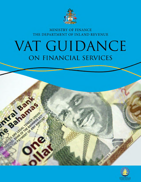

# MINISTRY OF FINANCE THE DEPARTMENT OF INLAND REVENUE

# VAT GUIDANCE ON FINANCIAL SERVICES

intranamas

ARE LEGAL TEMPER JNDER

SALLASHAND OF ANY AMOUNT

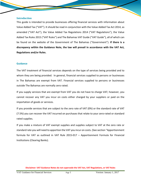#### **Introduction**

This guide is intended to provide businesses offering financial services with information about Value Added Tax ("VAT"). It should be read in conjunction with the Value Added Tax Act 2014, as amended ("VAT Act"), the Value Added Tax Regulations 2014 ("VAT Regulations"), the Value Added Tax Rules 2015 ("VAT Rules") and The Bahamas VAT Guide ("VAT Guide"), all of which can be found on the website of the Government of The Bahamas ("Government"). **If there is a discrepancy within the Guidance Note, the law will prevail in accordance with the VAT Act, Regulations and/or Rules.**

#### **Guidance**

The VAT treatment of financial services depends on the type of services being provided and to whom they are being provided. In general, financial services supplied to persons or businesses in The Bahamas are exempt from VAT. Financial services supplied to persons or businesses outside The Bahamas are normally zero rated.

If you supply services that are exempt from VAT you do not have to charge VAT; however, you cannot recover any VAT you incur on costs either charged by your suppliers or paid on the importation of goods or services.

If you provide services that are subject to the zero rate of VAT (0%) or the standard rate of VAT (7.5%) you can recover the VAT incurred on purchases that relate to your zero-rated or standard rated supplies.

If you make a mixture of VAT exempt supplies and supplies subject to VAT at the zero rate or standard rate you will need to apportion the VAT you incur on costs. (See section "Apportionment formula for VAT as outlined in VAT Rule 2015-017 – Apportionment Formula for Financial Institutions (Clearing Banks).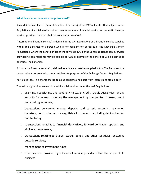#### **What financial services are exempt from VAT?**

Second Schedule, Part 1 (Exempt Supplies of Services) of the VAT Act states that subject to the Regulations, financial services other than international financial services or domestic financial services provided for an explicit fee are exempt from VAT.

"International financial service" is defined in the VAT Regulations as a financial service supplied within The Bahamas to a person who is non-resident for purposes of the Exchange Control Regulations, where the benefit or use of the service is outside the Bahamas. Hence some services provided to non-residents may be taxable at 7.5% or exempt if the benefit or use is deemed to be inside The Bahamas.

A "domestic financial service" is defined as a financial service supplied within The Bahamas to a person who is not treated as a non-resident for purposes of the Exchange Control Regulations.

An "explicit fee" is a charge that is itemized separate and apart from interest and stamp duty.

The following services are considered financial services under the VAT Regulations:

- $\Box$  granting, negotiating, and dealing with loans, credit, credit guarantees, or any security for money, including the management by the grantor of loans, credit and credit guarantees;
- $\Box$  transactions concerning money, deposit, and current accounts, payments, transfers, debts, cheques, or negotiable instruments, excluding debt collection and factoring;
- $\Box$  transactions relating to financial derivatives, forward contracts, options, and similar arrangements;
- $\Box$  transactions relating to shares, stocks, bonds, and other securities, excluding custody services;
- $\Box$  management of investment funds;
- $\Box$  other services provided by a financial service provider within the scope of its business.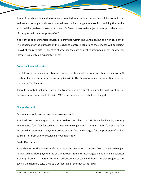If any of the above financial services are provided to a resident the service will be exempt from VAT, except for any explicit fee, commission or similar charge you make for providing the service which will be taxable at the standard rate. If a financial service is subject to stamp tax the amount of stamp tax will be exempt from VAT.

If any of the above financial services are provided within The Bahamas, but to a non-resident of The Bahamas for the purposes of the Exchange Control Regulations the services will be subject to VAT at the zero rate irrespective of whether they are subject to stamp tax or not, or whether they are subject to an explicit fee or not.

# **Domestic financial services**

The following outlines some typical charges for financial services and their respective VAT treatment where these services are supplied within The Bahamas to a business, entity or person resident in The Bahamas.

It should be noted that where any of the transactions are subject to stamp tax, VAT is not due on the amount of stamp tax to be paid. VAT is only due on the explicit fee charged.

# **Charges by banks**

# **Personal accounts and savings or deposit accounts**

Standard fixed rate charges to account holders are subject to VAT. Examples include; monthly maintenance fees, fees for cashing a cheque or making deposits, administration fees such asfees for providing statements, payment orders or transfers, and charges for the provision of on-line banking. Interest paid or received is not subject to VAT.

# **Credit Card services**

Fixed charges for the provision of credit cards and any other associated fixed charges are subject to VAT such as a late payment fee or a limit excess fee. Interest charged on outstanding balances is exempt from VAT. Charges for a cash advancement or cash withdrawal are also subject to VAT even if the charge is calculated as a percentage of the cash withdrawal.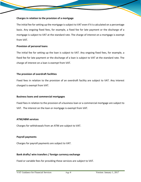# **Charges in relation to the provision of a mortgage**

The initial fee for setting up the mortgage is subject to VAT even if it is calculated on a percentage basis. Any ongoing fixed fees, for example, a fixed fee for late payment or the discharge of a mortgage is subject to VAT at the standard rate. The charge of interest on a mortgage is exempt from VAT.

#### **Provision of personal loans**

The initial fee for setting up the loan is subject to VAT. Any ongoing fixed fees, for example, a fixed fee for late payment or the discharge of a loan is subject to VAT at the standard rate. The charge of interest on a loan is exempt from VAT.

#### **The provision of overdraft facilities**

Fixed fees in relation to the provision of an overdraft facility are subject to VAT. Any interest charged is exempt from VAT.

#### **Business loans and commercial mortgages**

Fixed fees in relation to the provision of a business loan or a commercial mortgage are subject to VAT. The interest on the loan or mortgage is exempt from VAT.

#### **ATM/ABM services**

Charges for withdrawals from an ATM are subject to VAT.

#### **Payroll payments**

Charges for payroll payments are subject to VAT.

#### **Bank drafts/ wire transfers / foreign currency exchange**

Fixed or variable fees for providing these services are subject to VAT.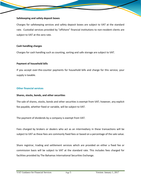#### **Safekeeping and safety deposit boxes**

Charges for safekeeping services and safety deposit boxes are subject to VAT at the standard rate. Custodial services provided by "offshore" financial institutions to non-resident clients are subject to VAT at the zero rate.

#### **Cash handling charges**

Charges for cash handling such as counting, sorting and safe storage are subject to VAT.

#### **Payment of household bills**

If you accept over-the-counter payments for household bills and charge for this service, your supply is taxable.

#### **Other financial services**

#### **Shares, stocks, bonds, and other securities**

The sale of shares, stocks, bonds and other securities is exempt from VAT; however, any explicit fee payable, whether fixed or variable, will be subject to VAT.

The payment of dividends by a company is exempt from VAT.

Fees charged by brokers or dealers who act as an intermediary in these transactions will be subject to VAT as these fees are commonly fixed fees or based on a percentage of the sale value.

Share registrar, trading and settlement services which are provided on either a fixed fee or commission basis will be subject to VAT at the standard rate. This includes fees charged for facilities provided by The Bahamas International Securities Exchange.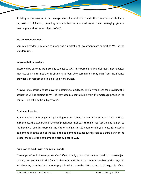Assisting a company with the management of shareholders and other financial stakeholders, payment of dividends, providing shareholders with annual reports and arranging general meetings are all services subject to VAT.

#### **Portfolio management**

Services provided in relation to managing a portfolio of investments are subject to VAT at the standard rate.

# **Intermediation services**

Intermediary services are normally subject to VAT. For example, a financial investment advisor may act as an intermediary in obtaining a loan. Any commission they gain from the finance provider is in respect of a taxable supply of services.

A lawyer may assist a house buyer in obtaining a mortgage. The lawyer's fees for providing this assistance will be subject to VAT. If they obtain a commission from the mortgage provider the commission will also be subject to VAT.

# **Equipment leasing**

Equipment hire or leasing is a supply of goods and subject to VAT at the standard rate. In these agreements, the ownership of the equipment does not pass to the lessee just the entitlement to the beneficial use, for example, the hire of a digger for 20 hours or a 3-year lease for catering equipment. If at the end of the lease, the equipment is subsequently sold to a third party or the lessee, the sale of the equipment is also subject to VAT.

# **Provision of credit with a supply of goods**

The supply of credit is exempt from VAT. If you supply goods or services on credit that are subject to VAT, and you include the finance charge in with the total amount payable by the buyer in installments, then the total amount payable will take on the VAT treatment of the goods. If you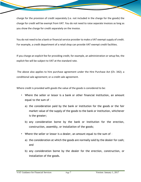charge for the provision of credit separately (i.e. not included in the charge for the goods) the charge for credit will be exempt from VAT. You do not need to raise separate invoices as long as you show the charge for credit separately on the invoice.

You do not need to be a bank or financial service provider to make a VAT exempt supply of credit. For example, a credit department of a retail shop can provide VAT exempt credit facilities.

If you charge an explicit fee for providing credit, for example, an administration or setup fee, the explicit fee will be subject to VAT at the standard rate.

The above also applies to hire purchase agreement under the Hire Purchase Act (Ch. 342); a conditional sale agreement; or a credit sale agreement.

Where credit is provided with goods the value of the goods is considered to be:

- Where the seller or lessor is a bank or other financial institution, an amount equal to the sum of –
	- a) the consideration paid by the bank or institution for the goods or the fair market value of the supply of the goods to the bank or institution, whichever is the greater;
	- b) any consideration borne by the bank or institution for the erection, construction, assembly, or installation of the goods;
- Where the seller or lessor is a dealer, an amount equal to the sum of
	- a) the consideration at which the goods are normally sold by the dealer for cash; and
	- b) any consideration borne by the dealer for the erection, construction, or installation of the goods.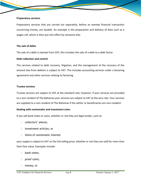#### **Preparatory services**

Preparatory services that are carried out separately, before an exempt financial transaction concerning money, are taxable. An example is the preparation and delivery of data such as a wages roll, which is then put into effect by someone else.

#### **The sale of debts**

The sale of a debt is exempt from VAT; this includes the sale of a debt to a debt factor.

#### **Debt collection and control**

The services related to debt recovery, litigation, and the management of the recovery of the amount due from debtors is subject to VAT. This includes accounting services under a factoring agreement and other services relating to factoring.

#### **Trustee services**

Trustee services are subject to VAT at the standard rate; however, if your services are provided to a non-resident of The Bahamas your services are subject to VAT at the zero rate. Your services are supplied to a non-resident of The Bahamas if the settlor or beneficiaries are non-resident.

#### **Dealing with numismatic and investment coins**

If you sell bank notes or coins, whether or not they are legal tender, such as:

- $\Box$  collectors' pieces;
- $\Box$  investment articles; or
- $\Box$  items of numismatic interest

your supply is subject to VAT on the full selling price, whether or not they are sold for more than their face value. Examples include:

- **bank notes;**
- proof coins;
- □ money; or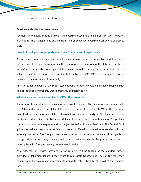$\Box$  precious or base metal coins.

#### **Pensions and collective investments**

Payments into a pension fund or collective investment scheme are exempt from VAT; however, a charge for the management of a pension fund or collective investment scheme is subject to VAT.

# **How do I treat goods or property repossessed under a credit agreement?**

A repossession of goods or property under a credit agreement is a supply by the debtor under the agreement to the person exercising the right of repossession. Where the debtor is registered for VAT and the goods formed part of the business assets, the supply by the debtor may be subject to VAT if the supply would ordinarily be subject to VAT. VAT would be applied to the balance of the cash value of the supply.

Any subsequent disposal of the repossessed goods or property would be a taxable supply if such sale of the goods or property would ordinarily be subject to VAT.

# **What financial services are subject to VAT at the zero rate?**

If you supply financial services to a person who is not resident in The Bahamas in accordance with The Bahamas Exchange Control Regulations your services will be subject to VAT at the zero rate, except where your services relate to transactions on real property in The Bahamas, or the facilities are denominated in Bahamian dollars. For real estate transactions, cases' legal fees, commission or other charges would be subject to VAT at the standard rate. The Central Bank guidelines make it clear that most financial products offered to non-residents are denominated in foreign currency. The foreign currency composition of the service is not a sufficient guide to charge VAT at the zero rate, however, as Bahamian residents may also be granted permission to be supplied with foreign currency denominated services.

As a rule, fees on services provided to non-residents will be taxable at the standard rate, if provided in Bahamian dollars, if they relate to real estate transactions. Fees on the "external" Bahamian dollar accounts of non-residents would, therefore, be subject to VAT at the standard rate.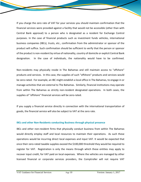If you charge the zero rate of VAT for your services you should maintain confirmation that the financial services were provided against a facility that would not be accessible (other than with Central Bank approval) to a person who is designated as a resident for Exchange Control purposes. In the case of financial products such as investment funds vehicles, international business companies (IBCs), trusts, etc., confirmation from the administrator or sponsor of the product will suffice. Such confirmation should be sufficient to verify that the person or sponsor of the product is non-resident by virtue of nationality, country of domicile or explicit Central Bank designation. In the case of individuals, the nationality would have to be confirmed.

Non-residents may physically reside in The Bahamas and still maintain access to "offshore" products and services. In this case, the supplies of such "offshore" products and services would be zero-rated. For example, an IBC might establish a local office in The Bahamas, to engage in or manage activities that are external to The Bahamas. Similarly, financial institutions may operate from within The Bahamas as strictly non-resident designated operations. In both cases, the supplies of "offshore" financial services will be zero-rated.

If you supply a financial service directly in connection with the international transportation of goods, the financial service will also be subject to VAT at the zero rate.

# **IBCs and other Non-Residents conducting Business through physical presence**

IBCs and other non-resident firms that physically conduct business from within The Bahamas would directly employ staff and local resources to maintain their operations. As such these operations would be incurring direct local expenses and input VAT. It would be expected that once their zero-rated taxable supplies exceed the \$100,000 threshold they would be required to register for VAT. Registration is only the means through which these entities may apply to recover input credit, for VAT paid on local expenses. Where the vehicles are managed by other licensed financial or corporate services providers, the Comptroller will not require VAT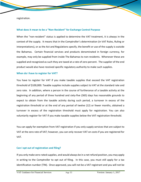registration.

# **What does it mean to be a "Non-Resident" for Exchange Control Purpose**

When the "non-resident" status is applied to determine the VAT treatment, it is always in the context of the supply. It means that in the Comptroller's determination (in VAT Rules, Ruling or interpretations), or as the Act and Regulations specify, the benefit or use of the supply is outside the Bahamas. Certain financial services and products denominated in foreign currency, for example, may only be supplied from inside The Bahamas to non-residents. Whenever these are supplied and recognized as such they are taxed at a rate of zero percent. The supplier of the end product would also have received specific regulatory authority to make such supplies.

#### **When do I have to register for VAT?**

You have to register for VAT if you make taxable supplies that exceed the VAT registration threshold of \$100,000. Taxable supplies include supplies subject to VAT at the standard rate and zero rate. In addition, where a person in the course of furtherance of a taxable activity at the beginning of any period of three hundred and sixty-five (365) days has reasonable grounds to expect to obtain from the taxable activity during such period, a turnover in excess of the registration threshold or at the end of any period of twelve (12) or fewer months, obtained a turnover in excess of the registration threshold must apply for registration. You can also voluntarily register for VAT if you make taxable supplies below the VAT registration threshold.

You can apply for exemption from VAT registration if you only supply services that are subject to VAT at the zero rate of VAT; however, you can only recover VAT on costs if you are registered for VAT.

# **Can I opt out of registration and filing?**

If you only make zero-rated supplies, and would always be in a net refund position, you may apply in writing to the Comptroller to opt out of filing. In this case, you must still apply for a tax identification number (TIN). Once approved, you will not be a VAT registrant and you will not be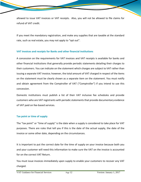allowed to issue VAT invoices or VAT receipts. Also, you will not be allowed to file claims for refund of VAT credit.

If you meet the mandatory registration, and make any supplies that are taxable at the standard rate, such as real estate, you may not apply to "opt out".

# **VAT invoices and receipts for Banks and other financial institutions**

A concession on the requirements for VAT invoices and VAT receipts is available for banks and other financial institutions that generally provide periodic statements detailing their charges to their customers. You can indicate on the statement which charges are subject to VAT rather than issuing a separate VAT invoice; however, the total amount of VAT charged in respect of the items on the statement must be clearly shown as a separate item on the statement. You must notify and obtain agreement from the Comptroller of VAT ("Comptroller") if you intend to use this concession.

Domestic institutions must publish a list of their VAT inclusive fee schedules and provide customers who are VAT registrants with periodic statementsthat provide documentary evidence of VAT paid on fee-based services.

# **Tax point or time of supply**

The "tax point" or "time of supply" is the date when a supply is considered to take place for VAT purposes. There are rules that tell you if this is the date of the actual supply, the date of the invoice or some other date, depending on the circumstances.

It is important to put the correct date for the time of supply on your invoice because both you and your customer will need this information to make sure the VAT on the invoice is accounted for on the correct VAT Return.

You must issue invoices immediately upon supply to enable your customers to recover any VAT charged.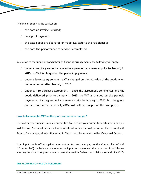The time of supply is the earliest of:

- $\Box$  the date an invoice is raised;
- $\Box$  receipt of payment;
- $\Box$  the date goods are delivered or made available to the recipient; or
- $\Box$  the date the performance of service is completed.

In relation to the supply of goods through financing arrangements, the following will apply:-

- $\Box$  under a credit agreement where the agreement commences prior to January 1, 2015, no VAT is charged on the periodic payments.
- $\Box$  under a layaway agreement VAT is charged on the full value of the goods when delivered on or after January 1, 2015.
- $\Box$  under a hire purchase agreement,  $\cdot$  once the agreement commences and the goods delivered prior to January 1, 2015, no VAT is charged on the periodic payments. If an agreement commences prior to January 1, 2015, but the goods are delivered after January 1, 2015, VAT will be charged on the cash price.

# **How do I account for VAT on the goods and services I supply?**

The VAT on your supplies is called output tax. You declare your output tax each month on your VAT Return. You must declare all sales which fall within the VAT period on the relevant VAT Return. For example, all sales that occur in March must be included on the March VAT Return.

Your input tax is offset against your output tax and you pay to the Comptroller of VAT ("Comptroller") the balance. Sometimes the input tax may exceed the output tax in which case you may be able to request a refund (see the section "When can I claim a refund of VAT?").

#### **THE RECOVERY OF VAT ON PURCHASES**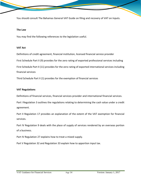You should consult The Bahamas General VAT Guide on filing and recovery of VAT on Inputs.

#### **The Law**

You may find the following references to the legislation useful.

#### **VAT Act**

Definitions of credit agreement, financial institution, licensed financial service provider First Schedule Part II (9) provides for the zero rating of exported professional services including First Schedule Part II (11) provides for the zero rating of exported international services including financial services

Third Schedule Part II (1) provides for the exemption of financial services

#### **VAT Regulations**

Definitions of financial services, financial services provider and international financial services.

Part I Regulation 3 outlines the regulations relating to determining the cash value under a credit agreement.

Part II Regulation 17 provides an explanation of the extent of the VAT exemption for financial services.

Part IV Regulation 9 deals with the place of supply of services rendered by an overseas portion of a business.

Part IV Regulation 27 explains how to treat a mixed supply.

Part V Regulation 32 and Regulation 33 explain how to apportion input tax.